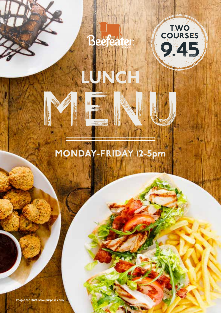

LUNCH

MENU



# MONDAY-FRIDAY 12-5pm

Images for illustrative purposes only